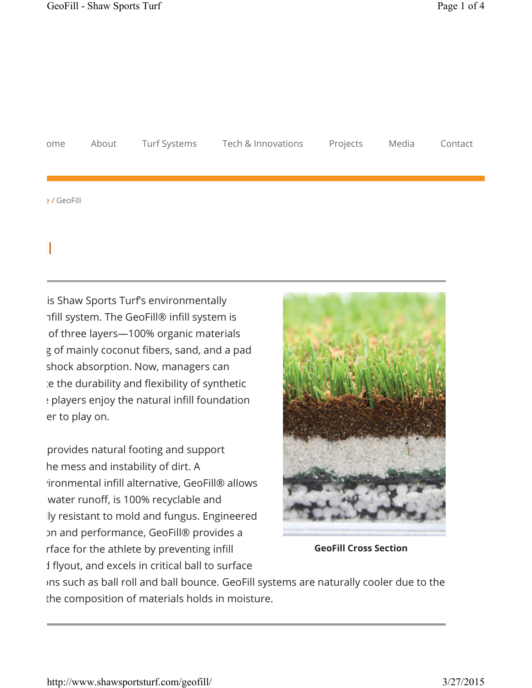GeoFill

| ome         | About Turf Systems | Tech & Innovations Projects Media |  | Contact |
|-------------|--------------------|-----------------------------------|--|---------|
|             |                    |                                   |  |         |
|             |                    |                                   |  |         |
| e / GeoFill |                    |                                   |  |         |

is Shaw Sports Turf's environmentally nfill system. The GeoFill® infill system is of three layers-100% organic materials g of mainly coconut fibers, sand, and a pad shock absorption. Now, managers can e the durability and flexibility of synthetic : players enjoy the natural infill foundation er to play on.

provides natural footing and support he mess and instability of dirt. A rironmental infill alternative, GeoFill® allows water runoff, is 100% recyclable and ly resistant to mold and fungus. Engineered on and performance, GeoFill® provides a rface for the athlete by preventing infill I flyout, and excels in critical ball to surface



**GeoFill Cross Section**

ins such as ball roll and ball bounce. GeoFill systems are naturally cooler due to the the composition of materials holds in moisture.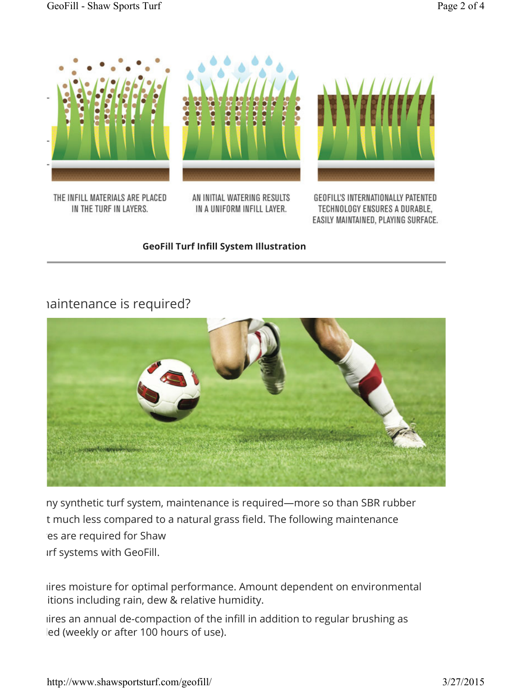

THE INFILL MATERIALS ARE PLACED IN THE TURF IN LAYERS.

AN INITIAL WATERING RESULTS IN A UNIFORM INFILL LAYER.

GEOFILL'S INTERNATIONALLY PATENTED TECHNOLOGY ENSURES A DURABLE, EASILY MAINTAINED, PLAYING SURFACE.

#### **GeoFill Turf Infill System Illustration**

## haintenance is required?



ny synthetic turf system, maintenance is required—more so than SBR rubber t much less compared to a natural grass field. The following maintenance es are required for Shaw Irf systems with GeoFill.

iires moisture for optimal performance. Amount dependent on environmental itions including rain, dew & relative humidity.

iires an annual de-compaction of the infill in addition to regular brushing as led (weekly or after 100 hours of use).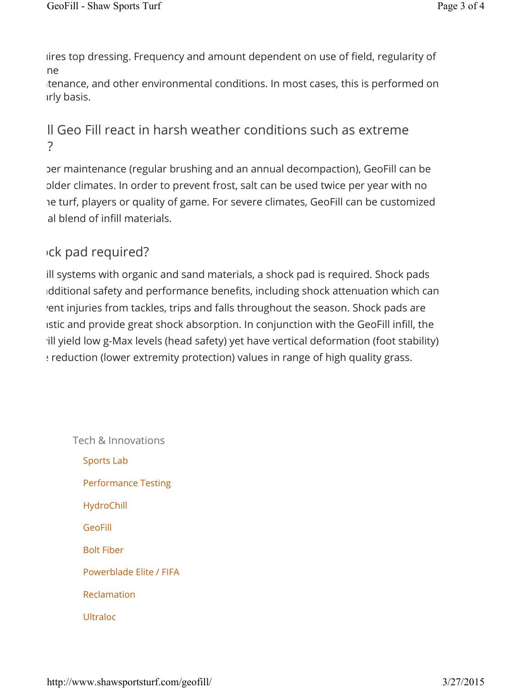lires top dressing. Frequency and amount dependent on use of field, regularity of ne

tenance, and other environmental conditions. In most cases, this is performed on *irly basis.* 

# II Geo Fill react in harsh weather conditions such as extreme winders  $\overline{\mathcal{C}}$

ber maintenance (regular brushing and an annual decompaction), GeoFill can be plder climates. In order to prevent frost, salt can be used twice per year with no re turf, players or quality of game. For severe climates, GeoFill can be customized al blend of infill materials.

# Ick pad required?

ill systems with organic and sand materials, a shock pad is required. Shock pads dditional safety and performance benefits, including shock attenuation which can rent injuries from tackles, trips and falls throughout the season. Shock pads are istic and provide great shock absorption. In conjunction with the GeoFill infill, the ill yield low g-Max levels (head safety) yet have vertical deformation (foot stability) eduction (lower extremity protection) values in range of high quality grass.

Tech & Innovations Sports Lab Performance Testing HydroChill GeoFill Bolt Fiber Powerblade Elite / FIFA Reclamation Ultraloc